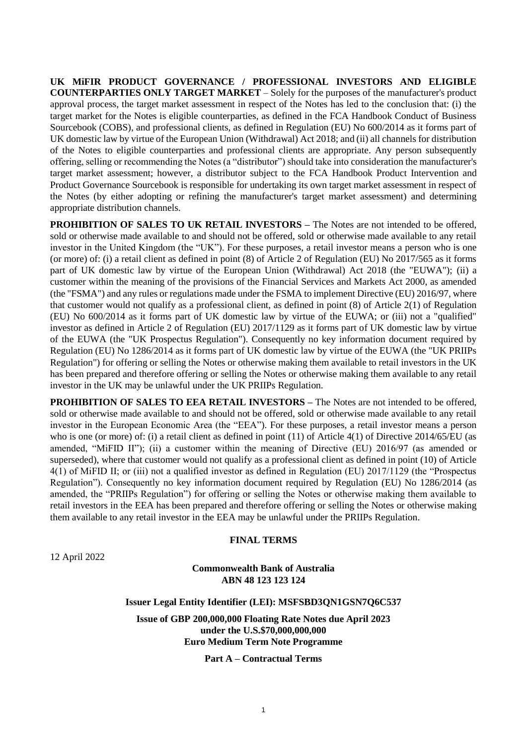**UK MiFIR PRODUCT GOVERNANCE / PROFESSIONAL INVESTORS AND ELIGIBLE COUNTERPARTIES ONLY TARGET MARKET** – Solely for the purposes of the manufacturer's product approval process, the target market assessment in respect of the Notes has led to the conclusion that: (i) the target market for the Notes is eligible counterparties, as defined in the FCA Handbook Conduct of Business Sourcebook (COBS), and professional clients, as defined in Regulation (EU) No 600/2014 as it forms part of UK domestic law by virtue of the European Union (Withdrawal) Act 2018; and (ii) all channels for distribution of the Notes to eligible counterparties and professional clients are appropriate. Any person subsequently offering, selling or recommending the Notes (a "distributor") should take into consideration the manufacturer's target market assessment; however, a distributor subject to the FCA Handbook Product Intervention and Product Governance Sourcebook is responsible for undertaking its own target market assessment in respect of the Notes (by either adopting or refining the manufacturer's target market assessment) and determining appropriate distribution channels.

**PROHIBITION OF SALES TO UK RETAIL INVESTORS – The Notes are not intended to be offered,** sold or otherwise made available to and should not be offered, sold or otherwise made available to any retail investor in the United Kingdom (the "UK"). For these purposes, a retail investor means a person who is one (or more) of: (i) a retail client as defined in point (8) of Article 2 of Regulation (EU) No 2017/565 as it forms part of UK domestic law by virtue of the European Union (Withdrawal) Act 2018 (the "EUWA"); (ii) a customer within the meaning of the provisions of the Financial Services and Markets Act 2000, as amended (the "FSMA") and any rules or regulations made under the FSMA to implement Directive (EU) 2016/97, where that customer would not qualify as a professional client, as defined in point (8) of Article 2(1) of Regulation (EU) No 600/2014 as it forms part of UK domestic law by virtue of the EUWA; or (iii) not a "qualified" investor as defined in Article 2 of Regulation (EU) 2017/1129 as it forms part of UK domestic law by virtue of the EUWA (the "UK Prospectus Regulation"). Consequently no key information document required by Regulation (EU) No 1286/2014 as it forms part of UK domestic law by virtue of the EUWA (the "UK PRIIPs Regulation") for offering or selling the Notes or otherwise making them available to retail investors in the UK has been prepared and therefore offering or selling the Notes or otherwise making them available to any retail investor in the UK may be unlawful under the UK PRIIPs Regulation.

**PROHIBITION OF SALES TO EEA RETAIL INVESTORS –** The Notes are not intended to be offered. sold or otherwise made available to and should not be offered, sold or otherwise made available to any retail investor in the European Economic Area (the "EEA"). For these purposes, a retail investor means a person who is one (or more) of: (i) a retail client as defined in point (11) of Article 4(1) of Directive 2014/65/EU (as amended, "MiFID II"); (ii) a customer within the meaning of Directive (EU) 2016/97 (as amended or superseded), where that customer would not qualify as a professional client as defined in point (10) of Article 4(1) of MiFID II; or (iii) not a qualified investor as defined in Regulation (EU) 2017/1129 (the "Prospectus Regulation"). Consequently no key information document required by Regulation (EU) No 1286/2014 (as amended, the "PRIIPs Regulation") for offering or selling the Notes or otherwise making them available to retail investors in the EEA has been prepared and therefore offering or selling the Notes or otherwise making them available to any retail investor in the EEA may be unlawful under the PRIIPs Regulation.

### **FINAL TERMS**

12 April 2022

**Commonwealth Bank of Australia ABN 48 123 123 124**

**Issuer Legal Entity Identifier (LEI): MSFSBD3QN1GSN7Q6C537**

**Issue of GBP 200,000,000 Floating Rate Notes due April 2023 under the U.S.\$70,000,000,000 Euro Medium Term Note Programme**

**Part A – Contractual Terms**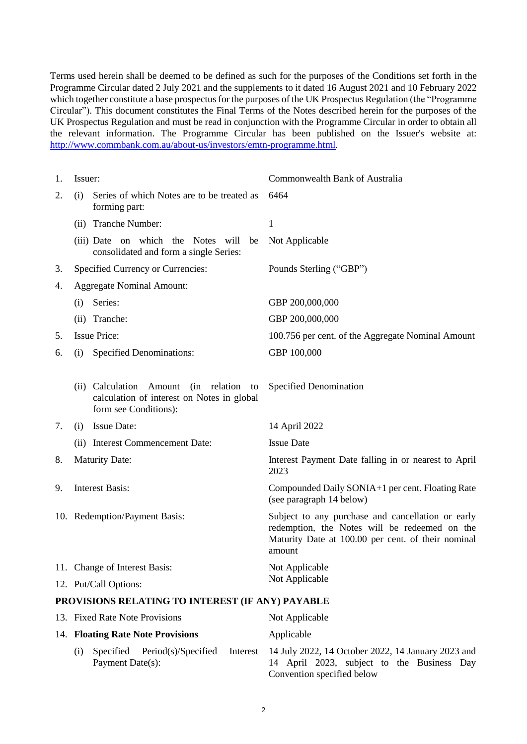Terms used herein shall be deemed to be defined as such for the purposes of the Conditions set forth in the Programme Circular dated 2 July 2021 and the supplements to it dated 16 August 2021 and 10 February 2022 which together constitute a base prospectus for the purposes of the UK Prospectus Regulation (the "Programme") Circular"). This document constitutes the Final Terms of the Notes described herein for the purposes of the UK Prospectus Regulation and must be read in conjunction with the Programme Circular in order to obtain all the relevant information. The Programme Circular has been published on the Issuer's website at: [http://www.commbank.com.au/about-us/investors/emtn-programme.html.](http://www.commbank.com.au/about-us/investors/emtn-programme.html)

| 1. | Issuer:                                                                                                                    | Commonwealth Bank of Australia                                                                                                                                     |  |
|----|----------------------------------------------------------------------------------------------------------------------------|--------------------------------------------------------------------------------------------------------------------------------------------------------------------|--|
| 2. | Series of which Notes are to be treated as<br>(i)<br>forming part:                                                         | 6464                                                                                                                                                               |  |
|    | (ii) Tranche Number:                                                                                                       | $\mathbf{1}$                                                                                                                                                       |  |
|    | (iii) Date on which the Notes will be<br>consolidated and form a single Series:                                            | Not Applicable                                                                                                                                                     |  |
| 3. | Specified Currency or Currencies:                                                                                          | Pounds Sterling ("GBP")                                                                                                                                            |  |
| 4. | <b>Aggregate Nominal Amount:</b>                                                                                           |                                                                                                                                                                    |  |
|    | Series:<br>(i)                                                                                                             | GBP 200,000,000                                                                                                                                                    |  |
|    | (ii) Tranche:                                                                                                              | GBP 200,000,000                                                                                                                                                    |  |
| 5. | <b>Issue Price:</b>                                                                                                        | 100.756 per cent. of the Aggregate Nominal Amount                                                                                                                  |  |
| 6. | <b>Specified Denominations:</b><br>(i)                                                                                     | GBP 100,000                                                                                                                                                        |  |
|    |                                                                                                                            |                                                                                                                                                                    |  |
|    | (ii) Calculation<br>Amount<br>(in<br>relation<br>to<br>calculation of interest on Notes in global<br>form see Conditions): | Specified Denomination                                                                                                                                             |  |
| 7. | (i) Issue Date:                                                                                                            | 14 April 2022                                                                                                                                                      |  |
|    | (ii) Interest Commencement Date:                                                                                           | <b>Issue Date</b>                                                                                                                                                  |  |
| 8. | <b>Maturity Date:</b>                                                                                                      | Interest Payment Date falling in or nearest to April<br>2023                                                                                                       |  |
| 9. | <b>Interest Basis:</b>                                                                                                     | Compounded Daily SONIA+1 per cent. Floating Rate<br>(see paragraph 14 below)                                                                                       |  |
|    | 10. Redemption/Payment Basis:                                                                                              | Subject to any purchase and cancellation or early<br>redemption, the Notes will be redeemed on the<br>Maturity Date at 100.00 per cent. of their nominal<br>amount |  |
|    | 11. Change of Interest Basis:                                                                                              | Not Applicable                                                                                                                                                     |  |
|    | 12. Put/Call Options:                                                                                                      | Not Applicable                                                                                                                                                     |  |
|    | PROVISIONS RELATING TO INTEREST (IF ANY) PAYABLE                                                                           |                                                                                                                                                                    |  |
|    | $\mathbf{r}$ in $\mathbf{M}$ in $\mathbf{r}$                                                                               | $\mathbf{M}$ $\mathbf{A}$ $\mathbf{I}$ $\mathbf{I}$ $\mathbf{I}$ $\mathbf{I}$ $\mathbf{I}$                                                                         |  |

<span id="page-1-0"></span>

|     | 13. Fixed Rate Note Provisions |                                   | Not Applicable                                                                                                                          |
|-----|--------------------------------|-----------------------------------|-----------------------------------------------------------------------------------------------------------------------------------------|
|     |                                | 14. Floating Rate Note Provisions | Applicable                                                                                                                              |
| (1) | Payment Date(s):               | Specified Period(s)/Specified     | Interest 14 July 2022, 14 October 2022, 14 January 2023 and<br>14 April 2023, subject to the Business Day<br>Convention specified below |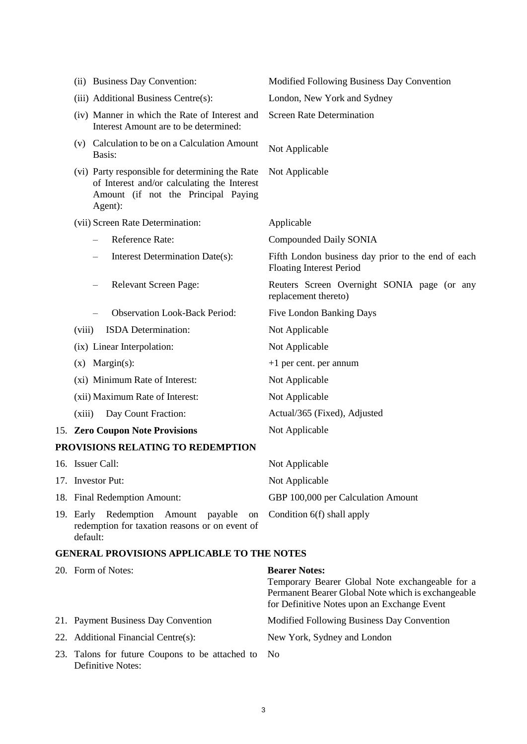| (ii) Business Day Convention:                                                                                                                    | Modified Following Business Day Convention                                            |
|--------------------------------------------------------------------------------------------------------------------------------------------------|---------------------------------------------------------------------------------------|
| (iii) Additional Business Centre(s):                                                                                                             | London, New York and Sydney                                                           |
| (iv) Manner in which the Rate of Interest and<br>Interest Amount are to be determined:                                                           | <b>Screen Rate Determination</b>                                                      |
| Calculation to be on a Calculation Amount<br>(V)<br>Basis:                                                                                       | Not Applicable                                                                        |
| (vi) Party responsible for determining the Rate<br>of Interest and/or calculating the Interest<br>Amount (if not the Principal Paying<br>Agent): | Not Applicable                                                                        |
| (vii) Screen Rate Determination:                                                                                                                 | Applicable                                                                            |
| Reference Rate:                                                                                                                                  | Compounded Daily SONIA                                                                |
| Interest Determination Date(s):                                                                                                                  | Fifth London business day prior to the end of each<br><b>Floating Interest Period</b> |
| Relevant Screen Page:                                                                                                                            | Reuters Screen Overnight SONIA page (or any<br>replacement thereto)                   |
| <b>Observation Look-Back Period:</b>                                                                                                             | <b>Five London Banking Days</b>                                                       |
| ISDA Determination:<br>(viii)                                                                                                                    | Not Applicable                                                                        |
| (ix) Linear Interpolation:                                                                                                                       | Not Applicable                                                                        |
| $(x)$ Margin(s):                                                                                                                                 | $+1$ per cent. per annum                                                              |
| (xi) Minimum Rate of Interest:                                                                                                                   | Not Applicable                                                                        |
| (xii) Maximum Rate of Interest:                                                                                                                  | Not Applicable                                                                        |
| Day Count Fraction:<br>(xiii)                                                                                                                    | Actual/365 (Fixed), Adjusted                                                          |
| 15. Zero Coupon Note Provisions                                                                                                                  | Not Applicable                                                                        |
| PROVISIONS RELATING TO REDEMPTION                                                                                                                |                                                                                       |
| 16. Issuer Call:                                                                                                                                 | Not Applicable                                                                        |
| 17. Investor Put:                                                                                                                                | Not Applicable                                                                        |
| 18. Final Redemption Amount:                                                                                                                     | GBP 100,000 per Calculation Amount                                                    |
| 19. Early Redemption<br>Amount<br>payable<br>on<br>redemption for taxation reasons or on event of<br>default:                                    | Condition 6(f) shall apply                                                            |

# **GENERAL PROVISIONS APPLICABLE TO THE NOTES**

| 20. Form of Notes:                                                      | <b>Bearer Notes:</b>                               |
|-------------------------------------------------------------------------|----------------------------------------------------|
|                                                                         | Temporary Bearer Global Note exchangeable for a    |
|                                                                         | Permanent Bearer Global Note which is exchangeable |
|                                                                         | for Definitive Notes upon an Exchange Event        |
| 21. Payment Business Day Convention                                     | Modified Following Business Day Convention         |
| 22. Additional Financial Centre(s):                                     | New York, Sydney and London                        |
| 23. Talons for future Coupons to be attached to No<br>Definitive Notes: |                                                    |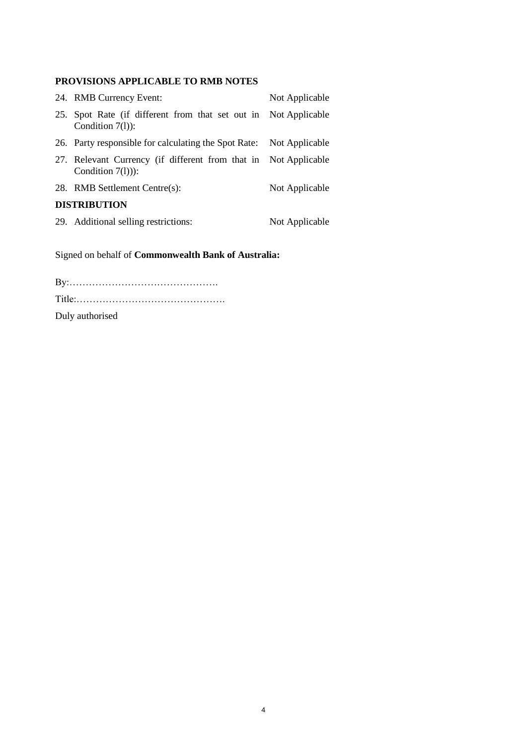# **PROVISIONS APPLICABLE TO RMB NOTES**

|                     | 24. RMB Currency Event:                                                                | Not Applicable |
|---------------------|----------------------------------------------------------------------------------------|----------------|
|                     | 25. Spot Rate (if different from that set out in Not Applicable<br>Condition $7(1)$ :  |                |
|                     | 26. Party responsible for calculating the Spot Rate: Not Applicable                    |                |
|                     | 27. Relevant Currency (if different from that in Not Applicable<br>Condition $7(1))$ : |                |
|                     | 28. RMB Settlement Centre(s):                                                          | Not Applicable |
| <b>DISTRIBUTION</b> |                                                                                        |                |
|                     | 29. Additional selling restrictions:                                                   | Not Applicable |

Signed on behalf of **Commonwealth Bank of Australia:**

| Duly authorised |  |
|-----------------|--|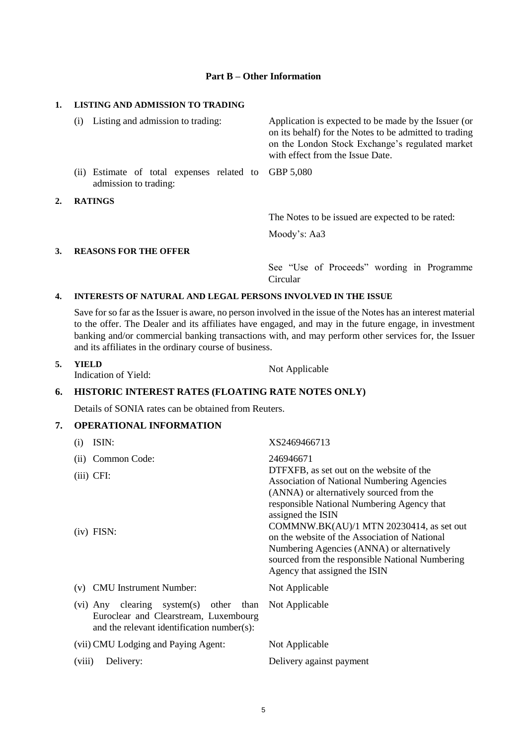### **Part B – Other Information**

#### **1. LISTING AND ADMISSION TO TRADING**

 $2.$ 

|    | Listing and admission to trading:<br>(1)                                      | Application is expected to be made by the Issuer (or<br>on its behalf) for the Notes to be admitted to trading<br>on the London Stock Exchange's regulated market<br>with effect from the Issue Date. |
|----|-------------------------------------------------------------------------------|-------------------------------------------------------------------------------------------------------------------------------------------------------------------------------------------------------|
|    | (ii) Estimate of total expenses related to GBP 5,080<br>admission to trading: |                                                                                                                                                                                                       |
| 2. | <b>RATINGS</b>                                                                |                                                                                                                                                                                                       |
|    |                                                                               | The Notes to be issued are expected to be rated:                                                                                                                                                      |
|    |                                                                               | Moody's: Aa3                                                                                                                                                                                          |
| 3. | <b>REASONS FOR THE OFFER</b>                                                  |                                                                                                                                                                                                       |

See "Use of Proceeds" wording in Programme Circular

## **4. INTERESTS OF NATURAL AND LEGAL PERSONS INVOLVED IN THE ISSUE**

Save for so far as the Issuer is aware, no person involved in the issue of the Notes has an interest material to the offer. The Dealer and its affiliates have engaged, and may in the future engage, in investment banking and/or commercial banking transactions with, and may perform other services for, the Issuer and its affiliates in the ordinary course of business.

| 5. | <b>YIELD</b>         | Not Applicable |
|----|----------------------|----------------|
|    | Indication of Yield: |                |

# **6. HISTORIC INTEREST RATES (FLOATING RATE NOTES ONLY)**

Details of SONIA rates can be obtained from Reuters.

## **7. OPERATIONAL INFORMATION**

| (i)    | ISIN:                                                                                                                            | XS2469466713                                                                                                                                                                                                                                                                                                                                                                                                                                |
|--------|----------------------------------------------------------------------------------------------------------------------------------|---------------------------------------------------------------------------------------------------------------------------------------------------------------------------------------------------------------------------------------------------------------------------------------------------------------------------------------------------------------------------------------------------------------------------------------------|
| (ii)   | Common Code:                                                                                                                     | 246946671                                                                                                                                                                                                                                                                                                                                                                                                                                   |
|        | $(iii)$ CFI:<br>$(iv)$ FISN:                                                                                                     | DTFXFB, as set out on the website of the<br><b>Association of National Numbering Agencies</b><br>(ANNA) or alternatively sourced from the<br>responsible National Numbering Agency that<br>assigned the ISIN<br>COMMNW.BK(AU)/1 MTN 20230414, as set out<br>on the website of the Association of National<br>Numbering Agencies (ANNA) or alternatively<br>sourced from the responsible National Numbering<br>Agency that assigned the ISIN |
| (v)    | <b>CMU</b> Instrument Number:                                                                                                    | Not Applicable                                                                                                                                                                                                                                                                                                                                                                                                                              |
|        |                                                                                                                                  |                                                                                                                                                                                                                                                                                                                                                                                                                                             |
|        | system(s) other than<br>(vi) Any clearing<br>Euroclear and Clearstream, Luxembourg<br>and the relevant identification number(s): | Not Applicable                                                                                                                                                                                                                                                                                                                                                                                                                              |
|        | (vii) CMU Lodging and Paying Agent:                                                                                              | Not Applicable                                                                                                                                                                                                                                                                                                                                                                                                                              |
| (viii) | Delivery:                                                                                                                        | Delivery against payment                                                                                                                                                                                                                                                                                                                                                                                                                    |